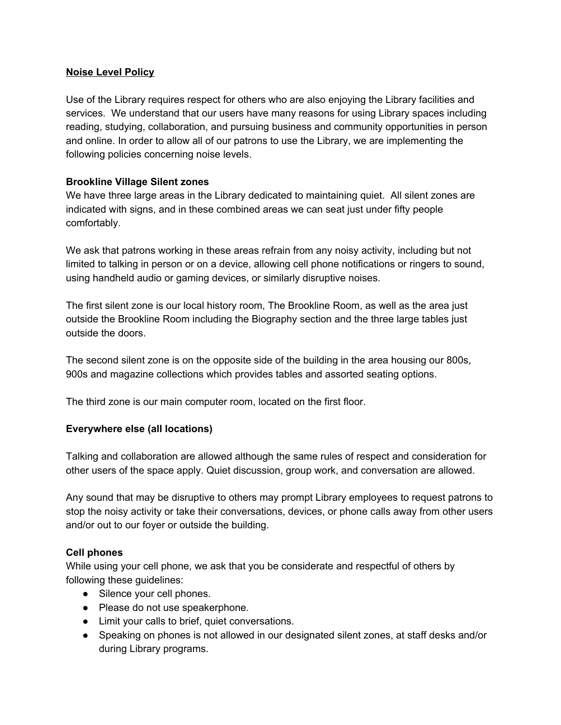## **Noise Level Policy**

Use of the Library requires respect for others who are also enjoying the Library facilities and services. We understand that our users have many reasons for using Library spaces including reading, studying, collaboration, and pursuing business and community opportunities in person and online. In order to allow all of our patrons to use the Library, we are implementing the following policies concerning noise levels.

## **Brookline Village Silent zones**

We have three large areas in the Library dedicated to maintaining quiet. All silent zones are indicated with signs, and in these combined areas we can seat just under fifty people comfortably.

We ask that patrons working in these areas refrain from any noisy activity, including but not limited to talking in person or on a device, allowing cell phone notifications or ringers to sound, using handheld audio or gaming devices, or similarly disruptive noises.

The first silent zone is our local history room, The Brookline Room, as well as the area just outside the Brookline Room including the Biography section and the three large tables just outside the doors.

The second silent zone is on the opposite side of the building in the area housing our 800s, 900s and magazine collections which provides tables and assorted seating options.

The third zone is our main computer room, located on the first floor.

# **Everywhere else (all locations)**

Talking and collaboration are allowed although the same rules of respect and consideration for other users of the space apply. Quiet discussion, group work, and conversation are allowed.

Any sound that may be disruptive to others may prompt Library employees to request patrons to stop the noisy activity or take their conversations, devices, or phone calls away from other users and/or out to our foyer or outside the building.

#### **Cell phones**

While using your cell phone, we ask that you be considerate and respectful of others by following these guidelines:

- Silence your cell phones.
- Please do not use speakerphone.
- Limit your calls to brief, quiet conversations.
- Speaking on phones is not allowed in our designated silent zones, at staff desks and/or during Library programs.